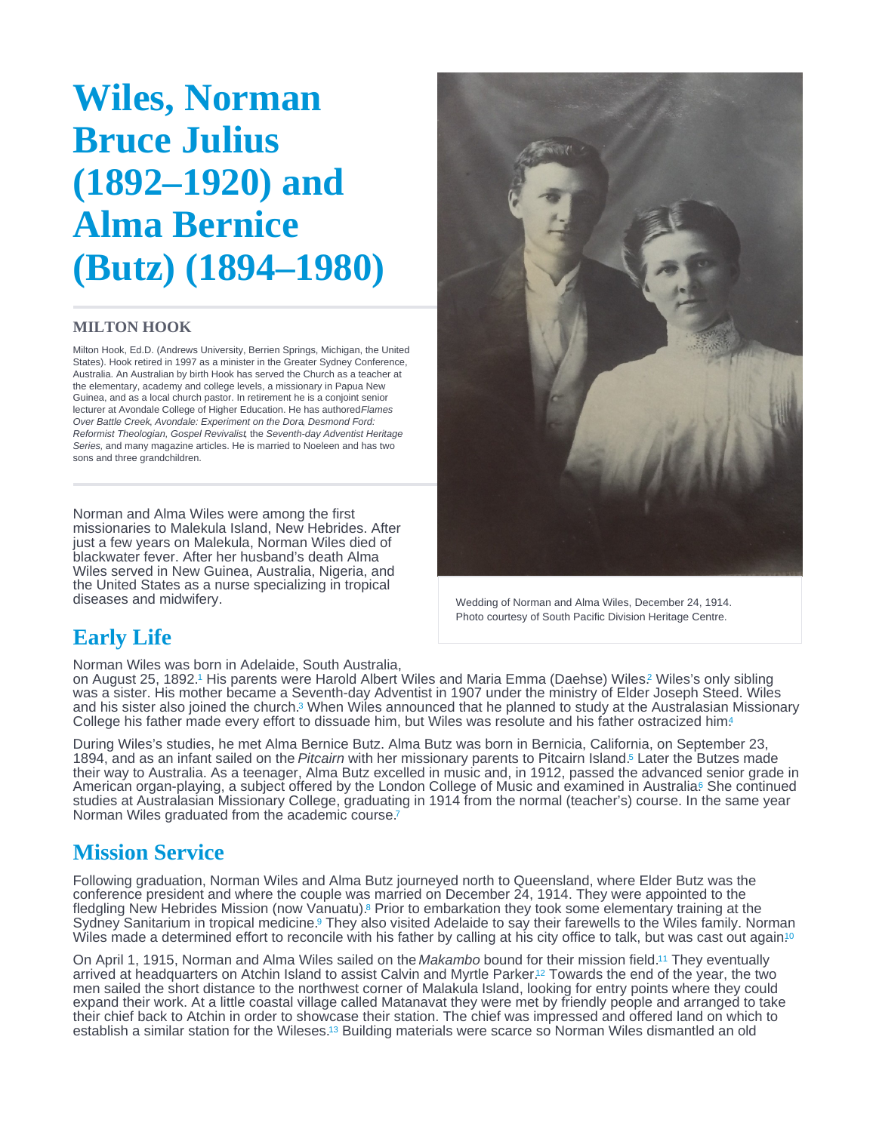# <span id="page-0-0"></span>Wiles, Norman Bruce Julius (1892–1920) and Alma Bernice (Butz) (1894–1980)

#### MILTON HOOK

Milton Hook, Ed.D. (Andrews University, Berrien Springs, Michigan, the United States). Hook retired in 1997 as a minister in the Greater Sydney Conference, Australia. An Australian by birth Hook has served the Church as a teacher at the elementary, academy and college levels, a missionary in Papua New Guinea, and as a local church pastor. In retirement he is a conjoint senior lecturer at Avondale College of Higher Education. He has authored Flames Over Battle Creek, Avondale: Experiment on the Dora, Desmond Ford: Reformist Theologian, Gospel Revivalist, the Seventh-day Adventist Heritage Series, and many magazine articles. He is married to Noeleen and has two sons and three grandchildren.

Norman and Alma Wiles were among the first missionaries to Malekula Island, New Hebrides. After just a few years on Malekula, Norman Wiles died of blackwater fever. After her husband's death Alma Wiles served in New Guinea, Australia, Nigeria, and the United States as a nurse specializing in tropical diseases and midwifery.

Wedding of Norman and Alma Wiles, December 24, 1914. Photo courtesy of South Pacific Division Heritage Centre.

## Early Life

Norman Wiles was born in Adelaide, South Australia,

on August 25, 1892.<sup>1</sup> His parents were Harold Albert Wiles and Maria Emma (Daehse) Wiles.<sup>2</sup> Wiles's only sibling was a sister. His mother became a Seventh-day Adventist in 1907 under the ministry of Elder Joseph Steed. Wiles and his sister also joined the church[.](#page-2-0)<sup>3</sup> When Wiles announced that he planned to study at the Australasian Missionary College his father made every effort to dissuade him, but Wiles was resolute and his father ostracized him.

During Wiles's studies, he met Alma Bernice Butz. Alma Butz was born in Bernicia, California, on September 23, 1894, and as an infant sailed on the Pitcairn with her missionary parents to Pitcairn Island.<sup>5</sup> Later the Butzes made their way to Australia. As a teenager, Alma Butz excelled in music and, in 1912, passed the advanced senior grade in American organ-playing, a subject offered by the London College of Music and examined in Australia<sup>6</sup> She continued studies at Australasian Missionary College, graduating in 1914 from the normal (teacher's) course. In the same year Norman Wiles graduated from the academic course. [7](#page-3-0)

## Mission Service

Following graduation, Norman Wiles and Alma Butz journeyed north to Queensland, where Elder Butz was the conference president and where the couple was married on December 24, 1914. They were appointed to the fledgling New Hebrides Mission (now Vanuatu)[.](#page-3-0)<sup>8</sup> Prior to embarkation they took some elementary training at the Sydney Sanitarium in tropical medicine[.](#page-3-0)<sup>9</sup> They also visited Adelaide to say their farewells to the Wiles family. Norman Wiles made a determined effort to reconcile with his father by calling at his city office to talk, but was cast out again.<sup>[10](#page-3-0)</sup>

On April 1, 1915, Norman and Alma Wiles sailed on the Makambo bound for their mission field.<sup>11</sup> They eventually arrived at headquarters on Atchin Island to assist Calvin and Myrtle Parker[.](#page-3-0)<sup>12</sup> Towards the end of the year, the two men sailed the short distance to the northwest corner of Malakula Island, looking for entry points where they could expand their work. At a little coastal village called Matanavat they were met by friendly people and arranged to take their chief back to Atchin in order to showcase their station. The chief was impressed and offered land on which to establish a similar station for the Wileses.<sup>13</sup> Building materials were scarce so Norman Wiles dismantled an old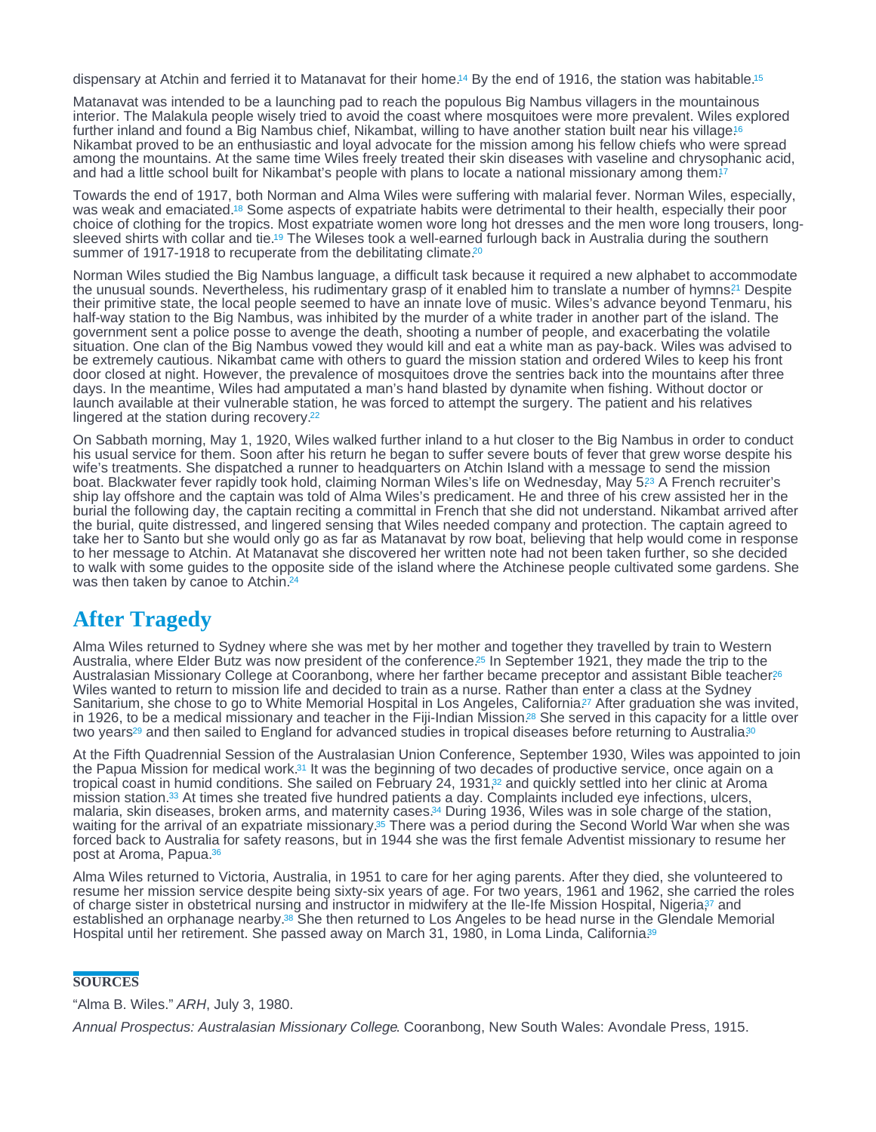<span id="page-1-0"></span>dispensary at Atchin and ferried it to Matanavat for their home[.](#page-3-0)<sup>14</sup> By the end of 1916, the station was habitable.<sup>[15](#page-3-0)</sup>

Matanavat was intended to be a launching pad to reach the populous Big Nambus villagers in the mountainous interior. The Malakula people wisely tried to avoid the coast where mosquitoes were more prevalent. Wiles explored further inland and found a Big Nambus chief, Nikambat, willing to have another station built near his village!<sup>6</sup> Nikambat proved to be an enthusiastic and loyal advocate for the mission among his fellow chiefs who were spread among the mountains. At the same time Wiles freely treated their skin diseases with vaseline and chrysophanic acid, and had a little school built for Nikambat's people with plans to locate a national missionary among them.<sup>†</sup>7

Towards the end of 1917, both Norman and Alma Wiles were suffering with malarial fever. Norman Wiles, especially, was weak and emaciated.<sup>18</sup> Some aspects of expatriate habits were detrimental to their health, especially their poor choice of clothing for the tropics. Most expatriate women wore long hot dresses and the men wore long trousers, long-sleeved shirts with collar and tie[.](#page-3-0)<sup>19</sup> The Wileses took a well-earned furlough back in Australia during the southern summer of 1917-1918 to recuperate from the debilitating climate.<sup>[20](#page-3-0)</sup>

Norman Wiles studied the Big Nambus language, a difficult task because it required a new alphabet to accommodate the unusual sounds[.](#page-3-0) Nevertheless, his rudimentary grasp of it enabled him to translate a number of hymns?<sup>1</sup> Despite their primitive state, the local people seemed to have an innate love of music. Wiles's advance beyond Tenmaru, his half-way station to the Big Nambus, was inhibited by the murder of a white trader in another part of the island. The government sent a police posse to avenge the death, shooting a number of people, and exacerbating the volatile situation. One clan of the Big Nambus vowed they would kill and eat a white man as pay-back. Wiles was advised to be extremely cautious. Nikambat came with others to guard the mission station and ordered Wiles to keep his front door closed at night. However, the prevalence of mosquitoes drove the sentries back into the mountains after three days. In the meantime, Wiles had amputated a man's hand blasted by dynamite when fishing. Without doctor or launch available at their vulnerable station, he was forced to attempt the surgery. The patient and his relatives lingered at the station during recovery. [22](#page-3-0)

On Sabbath morning, May 1, 1920, Wiles walked further inland to a hut closer to the Big Nambus in order to conduct his usual service for them. Soon after his return he began to suffer severe bouts of fever that grew worse despite his wife's treatments. She dispatched a runner to headquarters on Atchin Island with a message to send the mission boat[.](#page-3-0) Blackwater fever rapidly took hold, claiming Norman Wiles's life on Wednesday, May 5?3 A French recruiter's ship lay offshore and the captain was told of Alma Wiles's predicament. He and three of his crew assisted her in the burial the following day, the captain reciting a committal in French that she did not understand. Nikambat arrived after the burial, quite distressed, and lingered sensing that Wiles needed company and protection. The captain agreed to take her to Santo but she would only go as far as Matanavat by row boat, believing that help would come in response to her message to Atchin. At Matanavat she discovered her written note had not been taken further, so she decided to walk with some guides to the opposite side of the island where the Atchinese people cultivated some gardens. She was then taken by canoe to Atchin. [24](#page-3-0)

## After Tragedy

Alma Wiles returned to Sydney where she was met by her mother and together they travelled by train to Western Australia, where Elder Butz was now president of the conference[.](#page-3-0)<sup>25</sup> In September 1921, they made the trip to the Australasian Missionary College at Cooranbong, where her farther became preceptor and assistant Bible teacher?<sup>6</sup> Wiles wanted to return to mission life and decided to train as a nurse. Rather than enter a class at the Sydney Sanitarium, she chose to go to White Memorial Hospital in Los Angeles, California?7 After graduation she was invited, in 1926, to be a medical missionary and teacher in the Fiji-Indian Mission $^{28}$  She served in this capacity for a little over two years<sup>29</sup> and then sailed to England for advanced studies in tropical diseases before returning to Australia<sup>[30](#page-3-0)</sup>

At the Fifth Quadrennial Session of the Australasian Union Conference, September 1930, Wiles was appointed to join the Papua Mission for medical work[.](#page-3-0)<sup>31</sup> It was the beginning of two decades of productive service, once again on a tropical coast in humid conditions. She sailed on February 24[,](#page-3-0) 1931,32 and quickly settled into her clinic at Aroma mission station.<sup>33</sup> At times she treated five hundred patients a day[.](#page-3-0) Complaints included eye infections, ulcers, malaria, skin diseases, broken arms, and maternity cases.<sup>34</sup> During 1936, Wiles was in sole charge of the station, waiting for the arrival of an expatriate missionary.<sup>35</sup> There was a period during the Second World War when she was forced back to Australia for safety reasons, but in 1944 she was the first female Adventist missionary to resume her post at Aroma, Papua.<sup>[36](#page-3-0)</sup> 32 33

Alma Wiles returned to Victoria, Australia, in 1951 to care for her aging parents. After they died, she volunteered to resume her mission service despite being sixty-six years of age. For two years, 1961 and 1962, she carried the roles of charge sister in obstetrical nursing and instructor in midwifery at the IIe-Ife Mission Hospital[,](#page-3-0) Nigeria,<sup>37</sup> and established an orphanage nearby[.](#page-3-0)<sup>38</sup> She then returned to Los Angeles to be head nurse in the Glendale Memorial Hospital until her retirement. She passed away on March 31, 1980, in Loma Linda, California<sup>39</sup>

#### **SOURCES**

"Alma B. Wiles." ARH, July 3, 1980.

Annual Prospectus: Australasian Missionary College. Cooranbong, New South Wales: Avondale Press, 1915.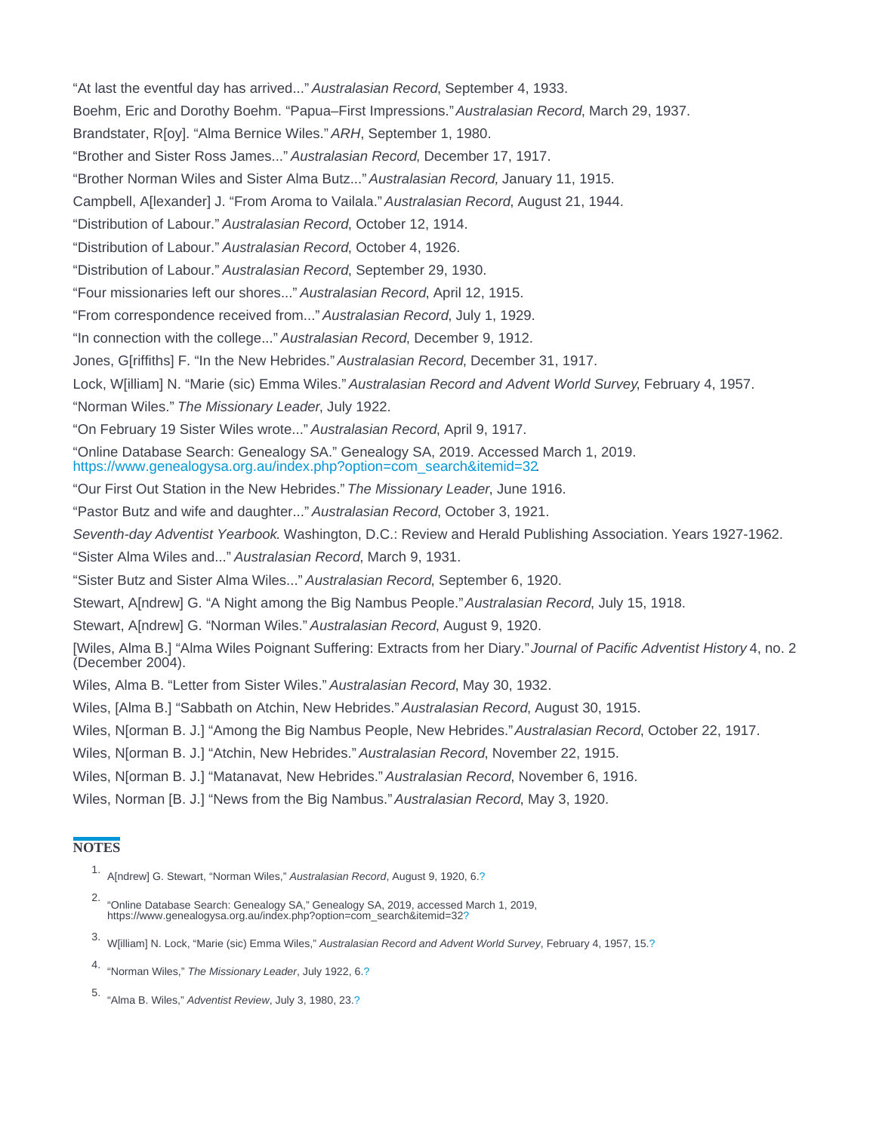<span id="page-2-0"></span>"At last the eventful day has arrived..." Australasian Record, September 4, 1933.

Boehm, Eric and Dorothy Boehm. "Papua–First Impressions." Australasian Record, March 29, 1937.

Brandstater, R[oy]. "Alma Bernice Wiles." ARH, September 1, 1980.

"Brother and Sister Ross James..." Australasian Record, December 17, 1917.

"Brother Norman Wiles and Sister Alma Butz..." Australasian Record, January 11, 1915.

Campbell, A[lexander] J. "From Aroma to Vailala." Australasian Record, August 21, 1944.

"Distribution of Labour." Australasian Record, October 12, 1914.

"Distribution of Labour." Australasian Record, October 4, 1926.

"Distribution of Labour." Australasian Record, September 29, 1930.

"Four missionaries left our shores..." Australasian Record, April 12, 1915.

"From correspondence received from..." Australasian Record, July 1, 1929.

"In connection with the college..." Australasian Record, December 9, 1912.

Jones, G[riffiths] F. "In the New Hebrides." Australasian Record, December 31, 1917.

Lock, W[illiam] N. "Marie (sic) Emma Wiles." Australasian Record and Advent World Survey, February 4, 1957.

"Norman Wiles." The Missionary Leader, July 1922.

"On February 19 Sister Wiles wrote..." Australasian Record, April 9, 1917.

"Online Database Search: Genealogy SA." Genealogy SA, 2019. Accessed March 1, 2019. [https://www.genealogysa.org.au/index.php?option=com\\_search&itemid=32.](https://www.genealogysa.org.au/index.php?option=com_search&itemid=32)

"Our First Out Station in the New Hebrides." The Missionary Leader, June 1916.

"Pastor Butz and wife and daughter..." Australasian Record, October 3, 1921.

Seventh-day Adventist Yearbook. Washington, D.C.: Review and Herald Publishing Association. Years 1927-1962.

"Sister Alma Wiles and..." Australasian Record, March 9, 1931.

"Sister Butz and Sister Alma Wiles..." Australasian Record, September 6, 1920.

Stewart, A[ndrew] G. "A Night among the Big Nambus People." Australasian Record, July 15, 1918.

Stewart, A[ndrew] G. "Norman Wiles." Australasian Record, August 9, 1920.

[Wiles, Alma B.] "Alma Wiles Poignant Suffering: Extracts from her Diary." Journal of Pacific Adventist History 4, no. 2 (December 2004).

Wiles, Alma B. "Letter from Sister Wiles." Australasian Record, May 30, 1932.

Wiles, [Alma B.] "Sabbath on Atchin, New Hebrides." Australasian Record, August 30, 1915.

Wiles, N[orman B. J.] "Among the Big Nambus People, New Hebrides." Australasian Record, October 22, 1917.

Wiles, N[orman B. J.] "Atchin, New Hebrides." Australasian Record, November 22, 1915.

Wiles, N[orman B. J.] "Matanavat, New Hebrides." Australasian Record, November 6, 1916.

Wiles, Norman [B. J.] "News from the Big Nambus." Australasian Record, May 3, 1920.

### **NOTES**

- 1. A[ndrew] G. Stewart, "Norman Wiles," Australasian Record, August 9, 1920, 6[.?](#page-0-0)
- 2. "Online Database Search: Genealogy SA," Genealogy SA, 2019, accessed March 1, 2019, https://www.genealogysa.org.au/index.php?option=com\_search&itemid=32[?](#page-0-0)
- 3. W[illiam] N. Lock, "Marie (sic) Emma Wiles," Australasian Record and Advent World Survey, February 4, 1957, 15.[?](#page-0-0)
- 4. "Norman Wiles," The Missionary Leader, July 1922, 6[.?](#page-0-0)

5. "Alma B. Wiles," Adventist Review, July 3, 1980, 23.[?](#page-0-0)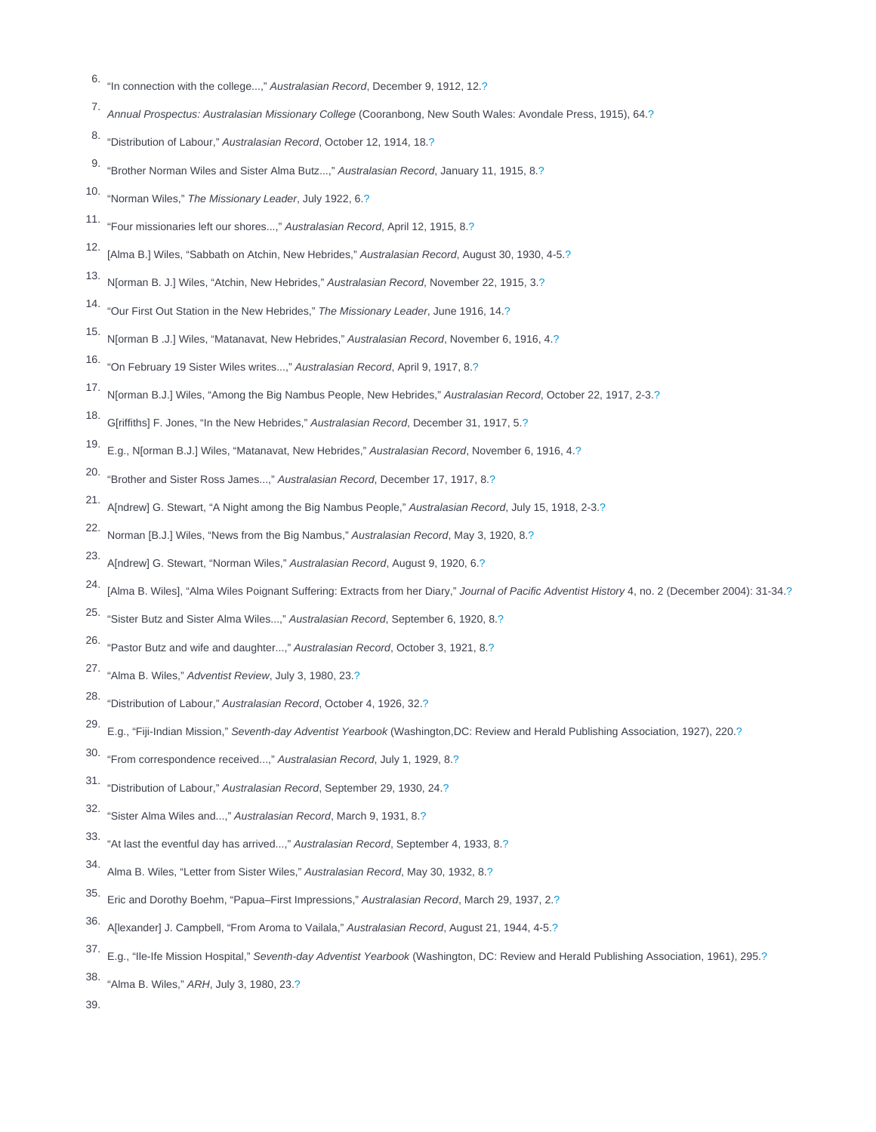- <span id="page-3-0"></span>6. "In connection with the college...," Australasian Record, December 9, 1912, 12.[?](#page-0-0)
- 7. Annual Prospectus: Australasian Missionary College (Cooranbong, New South Wales: Avondale Press, 1915), 64[.?](#page-0-0)
- 8. "Distribution of Labour," Australasian Record, October 12, 1914, 18.[?](#page-0-0)
- 9. "Brother Norman Wiles and Sister Alma Butz...," Australasian Record, January 11, 1915, 8[.?](#page-0-0)
- 10. "Norman Wiles," The Missionary Leader, July 1922, 6[.?](#page-0-0)
- 11. "Four missionaries left our shores...," Australasian Record, April 12, 1915, 8.[?](#page-0-0)
- [Alma B.] Wiles, "Sabbath on Atchin, New Hebrides," Australasian Record, August 30, 1930, 4-5[.?](#page-0-0)
- 13. N[orman B. J.] Wiles, "Atchin, New Hebrides," Australasian Record, November 22, 1915, 3.[?](#page-0-0)
- 14. "Our First Out Station in the New Hebrides," The Missionary Leader, June 1916, 14.[?](#page-1-0)
- 15. N[orman B .J.] Wiles, "Matanavat, New Hebrides," Australasian Record, November 6, 1916, 4.[?](#page-1-0)
- 16. "On February 19 Sister Wiles writes...," Australasian Record, April 9, 1917, 8.[?](#page-1-0)
- 17. N[orman B.J.] Wiles, "Among the Big Nambus People, New Hebrides," Australasian Record, October 22, 1917, 2-3[.?](#page-1-0)
- 18. G[riffiths] F. Jones, "In the New Hebrides," Australasian Record, December 31, 1917, 5[.?](#page-1-0)
- 19. E.g., N[orman B.J.] Wiles, "Matanavat, New Hebrides," Australasian Record, November 6, 1916, 4[.?](#page-1-0)
- 20. "Brother and Sister Ross James...," Australasian Record, December 17, 1917, 8[.?](#page-1-0)
- 21. A[ndrew] G. Stewart, "A Night among the Big Nambus People," Australasian Record, July 15, 1918, 2-3[.?](#page-1-0)
- 22. Norman [B.J.] Wiles, "News from the Big Nambus," Australasian Record, May 3, 1920, 8[.?](#page-1-0)
- 23. A[ndrew] G. Stewart, "Norman Wiles," Australasian Record, August 9, 1920, 6[.?](#page-1-0)
- 24. [Alma B. Wiles], "Alma Wiles Poignant Suffering: Extracts from her Diary," Journal of Pacific Adventist History 4, no. 2 (December 2004): 31-34.[?](#page-1-0)
- 25. "Sister Butz and Sister Alma Wiles...," Australasian Record, September 6, 1920, 8[.?](#page-1-0)
- 26. "Pastor Butz and wife and daughter...," Australasian Record, October 3, 1921, 8[.?](#page-1-0)
- 27. "Alma B. Wiles," Adventist Review, July 3, 1980, 23.[?](#page-1-0)
- 28. "Distribution of Labour," Australasian Record, October 4, 1926, 32.[?](#page-1-0)
- 29. E.g., "Fiji-Indian Mission," Seventh-day Adventist Yearbook (Washington,DC: Review and Herald Publishing Association, 1927), 220.[?](#page-1-0)
- 30. "From correspondence received...," Australasian Record, July 1, 1929, 8.[?](#page-1-0)
- 31. "Distribution of Labour," Australasian Record, September 29, 1930, 24.[?](#page-1-0)
- 32. "Sister Alma Wiles and...," Australasian Record, March 9, 1931, 8.[?](#page-1-0)
- 33. "At last the eventful day has arrived...," Australasian Record, September 4, 1933, 8[.?](#page-1-0)
- 34. Alma B. Wiles, "Letter from Sister Wiles," Australasian Record, May 30, 1932, 8.[?](#page-1-0)
- 35. Eric and Dorothy Boehm, "Papua–First Impressions," Australasian Record, March 29, 1937, 2[.?](#page-1-0)
- 36. A[lexander] J. Campbell, "From Aroma to Vailala," Australasian Record, August 21, 1944, 4-5.[?](#page-1-0)
- 37. E.g., "Ile-Ife Mission Hospital," Seventh-day Adventist Yearbook (Washington, DC: Review and Herald Publishing Association, 1961), 295[.?](#page-1-0)
- 38. "Alma B. Wiles," ARH, July 3, 1980, 23.[?](#page-1-0)

39.